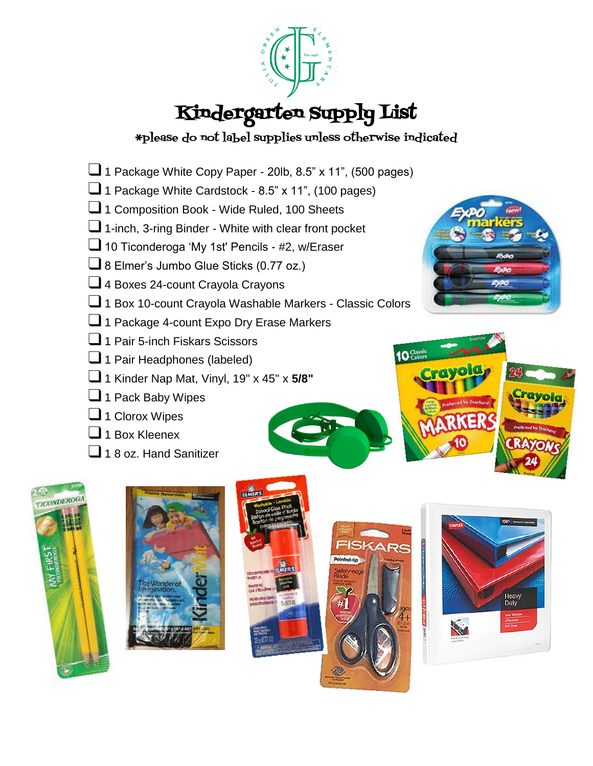

# Kindergarten Supply List

#### \*please do not label supplies unless otherwise indicated

- $\Box$  1 Package White Copy Paper 20lb, 8.5" x 11", (500 pages)
- □ 1 Package White Cardstock 8.5" x 11", (100 pages)
- ❑1 Composition Book Wide Ruled, 100 Sheets
- ❑1-inch, 3-ring Binder White with clear front pocket
- □ 10 Ticonderoga 'My 1st' Pencils #2, w/Eraser
- ❑8 Elmer's Jumbo Glue Sticks (0.77 oz.)
- □ 4 Boxes 24-count Crayola Crayons
- □ 1 Box 10-count Crayola Washable Markers Classic Colors
- □1 Package 4-count Expo Dry Erase Markers
- ❑1 Pair 5-inch Fiskars Scissors
- □1 Pair Headphones (labeled)
- ❑1 Kinder Nap Mat, Vinyl, 19" x 45" x **5/8"**
- □1 Pack Baby Wipes
- □ 1 Clorox Wipes
- $\Box$  1 Box Kleenex
- $\Box$  1.8 oz. Hand Sanitizer











 $10<sup>Class</sup>$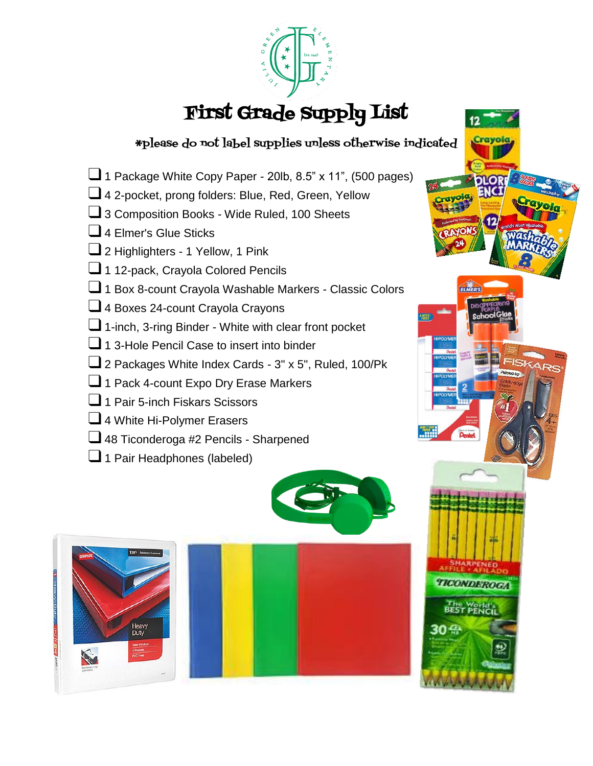

## First Grade Supply List

#### \*please do not label supplies unless otherwise indicated

ELMER'S

- $\Box$  1 Package White Copy Paper 20lb, 8.5" x 11", (500 pages)
- ❑4 2-pocket, prong folders: Blue, Red, Green, Yellow
- ❑3 Composition Books Wide Ruled, 100 Sheets
- ❑4 Elmer's Glue Sticks
- □ 2 Highlighters 1 Yellow, 1 Pink
- □ 1 12-pack, Crayola Colored Pencils
- ❑1 Box 8-count Crayola Washable Markers Classic Colors
- □ 4 Boxes 24-count Crayola Crayons
- ❑1-inch, 3-ring Binder White with clear front pocket
- ❑1 3-Hole Pencil Case to insert into binder
- 2 Packages White Index Cards 3" x 5", Ruled, 100/Pk
- ❑1 Pack 4-count Expo Dry Erase Markers
- ❑1 Pair 5-inch Fiskars Scissors
- ❑4 White Hi-Polymer Erasers
- ■48 Ticonderoga #2 Pencils Sharpened
- □1 Pair Headphones (labeled)

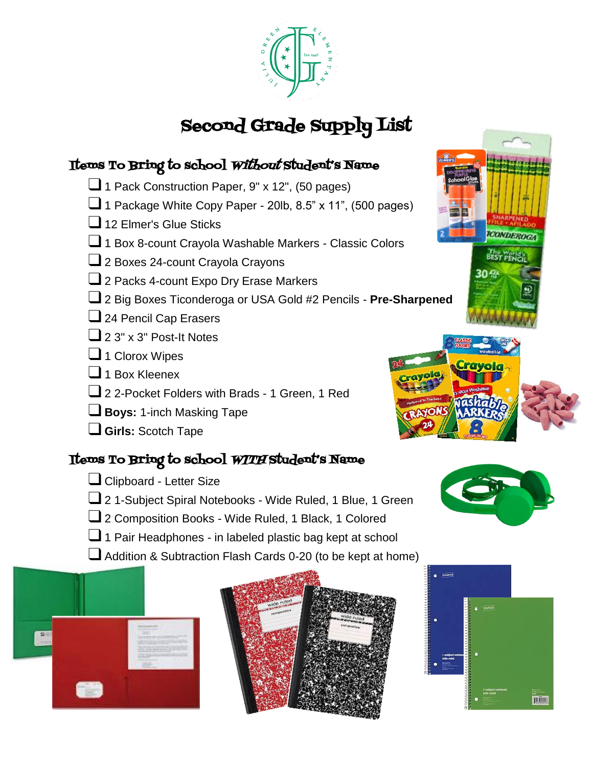

## Second Grade Supply List

#### Items To Bring to school Without Student's Name

- □1 Pack Construction Paper, 9" x 12", (50 pages)
- $\Box$  1 Package White Copy Paper 20lb, 8.5" x 11", (500 pages)
- □ 12 Elmer's Glue Sticks
- □ 1 Box 8-count Crayola Washable Markers Classic Colors
- □ 2 Boxes 24-count Crayola Crayons
- ❑2 Packs 4-count Expo Dry Erase Markers
- ❑2 Big Boxes Ticonderoga or USA Gold #2 Pencils **Pre-Sharpened**
- ❑24 Pencil Cap Erasers
- $\Box$  2 3" x 3" Post-It Notes
- □ 1 Clorox Wipes
- $\Box$  1 Box Kleenex
- ❑2 2-Pocket Folders with Brads 1 Green, 1 Red
- ❑**Boys:** 1-inch Masking Tape
- ❑**Girls:** Scotch Tape

#### Items To Bring to school WITH Student's Name

- □ Clipboard Letter Size
- ❑2 1-Subject Spiral Notebooks Wide Ruled, 1 Blue, 1 Green
- □ 2 Composition Books Wide Ruled, 1 Black, 1 Colored
- ❑1 Pair Headphones in labeled plastic bag kept at school
- ❑Addition & Subtraction Flash Cards 0-20 (to be kept at home)











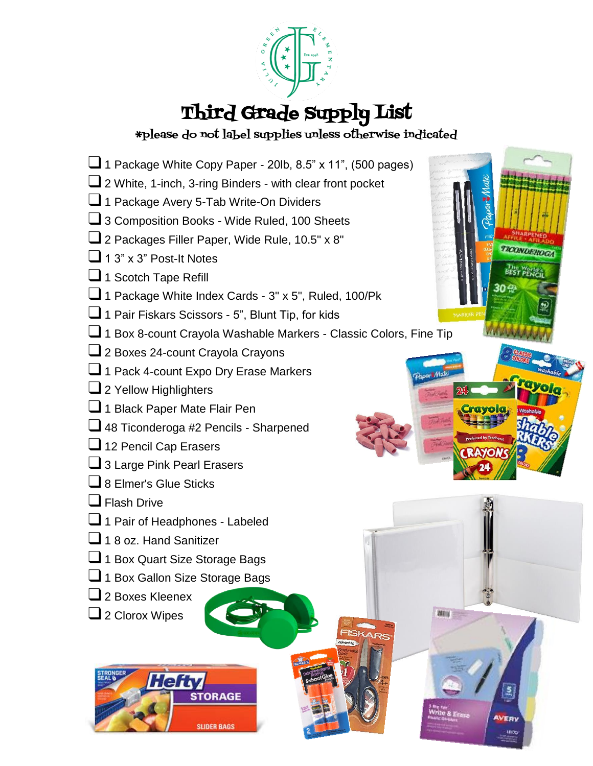

# Third Grade Supply List

\*please do not label supplies unless otherwise indicated

TICONDEROGA

 $u_{\text{tot}}$ 

- $\Box$  1 Package White Copy Paper 20lb, 8.5" x 11", (500 pages)
- ❑2 White, 1-inch, 3-ring Binders with clear front pocket
- □ 1 Package Avery 5-Tab Write-On Dividers
- □ 3 Composition Books Wide Ruled, 100 Sheets
- ❑2 Packages Filler Paper, Wide Rule, 10.5" x 8"
- $\Box$  1 3" x 3" Post-It Notes
- □1 Scotch Tape Refill
- ❑1 Package White Index Cards 3" x 5", Ruled, 100/Pk
- ■1 Pair Fiskars Scissors 5", Blunt Tip, for kids
- ❑1 Box 8-count Crayola Washable Markers Classic Colors, Fine Tip
- ❑2 Boxes 24-count Crayola Crayons
- ❑1 Pack 4-count Expo Dry Erase Markers
- □ 2 Yellow Highlighters
- □1 Black Paper Mate Flair Pen
- □ 48 Ticonderoga #2 Pencils Sharpened
- □ 12 Pencil Cap Erasers
- 3 Large Pink Pearl Erasers
- ❑8 Elmer's Glue Sticks
- ❑Flash Drive
- □ 1 Pair of Headphones Labeled
- □ 18 oz. Hand Sanitizer
- □ 1 Box Quart Size Storage Bags
- □ 1 Box Gallon Size Storage Bags
- ❑2 Boxes Kleenex
- □ 2 Clorox Wipes